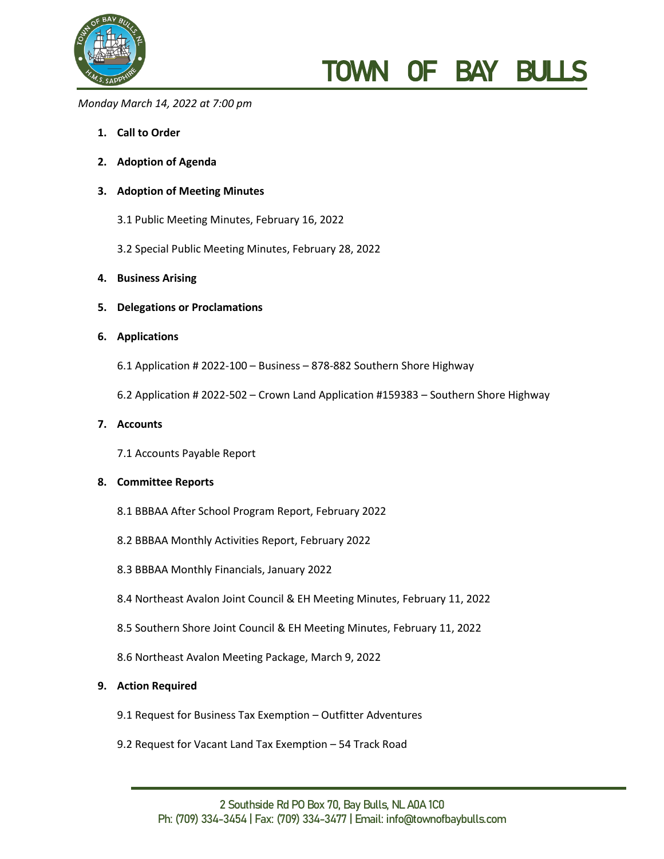

# TOWN OF BAY BUL

#### *Monday March 14, 2022 at 7:00 pm*

- **1. Call to Order**
- **2. Adoption of Agenda**

# **3. Adoption of Meeting Minutes**

- 3.1 Public Meeting Minutes, February 16, 2022
- 3.2 Special Public Meeting Minutes, February 28, 2022
- **4. Business Arising**
- **5. Delegations or Proclamations**

#### **6. Applications**

- 6.1 Application # 2022-100 Business 878-882 Southern Shore Highway
- 6.2 Application # 2022-502 Crown Land Application #159383 Southern Shore Highway

## **7. Accounts**

7.1 Accounts Payable Report

## **8. Committee Reports**

- 8.1 BBBAA After School Program Report, February 2022
- 8.2 BBBAA Monthly Activities Report, February 2022
- 8.3 BBBAA Monthly Financials, January 2022
- 8.4 Northeast Avalon Joint Council & EH Meeting Minutes, February 11, 2022
- 8.5 Southern Shore Joint Council & EH Meeting Minutes, February 11, 2022
- 8.6 Northeast Avalon Meeting Package, March 9, 2022

#### **9. Action Required**

- 9.1 Request for Business Tax Exemption Outfitter Adventures
- 9.2 Request for Vacant Land Tax Exemption 54 Track Road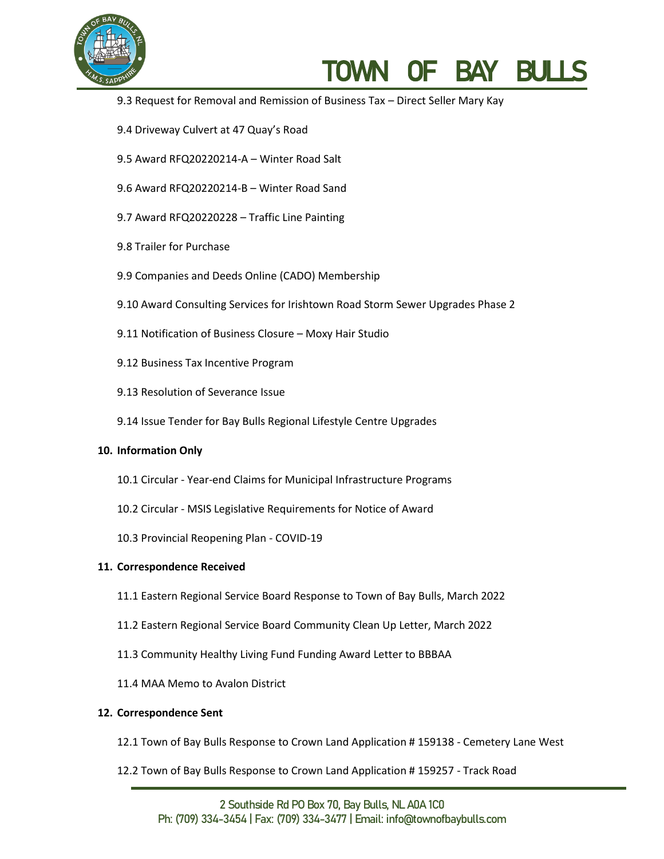

# TOWN OF BAY BULLS

- 9.3 Request for Removal and Remission of Business Tax Direct Seller Mary Kay
- 9.4 Driveway Culvert at 47 Quay's Road
- 9.5 Award RFQ20220214-A Winter Road Salt
- 9.6 Award RFQ20220214-B Winter Road Sand
- 9.7 Award RFQ20220228 Traffic Line Painting
- 9.8 Trailer for Purchase
- 9.9 Companies and Deeds Online (CADO) Membership
- 9.10 Award Consulting Services for Irishtown Road Storm Sewer Upgrades Phase 2
- 9.11 Notification of Business Closure Moxy Hair Studio
- 9.12 Business Tax Incentive Program
- 9.13 Resolution of Severance Issue
- 9.14 Issue Tender for Bay Bulls Regional Lifestyle Centre Upgrades

#### **10. Information Only**

- 10.1 Circular Year-end Claims for Municipal Infrastructure Programs
- 10.2 Circular MSIS Legislative Requirements for Notice of Award
- 10.3 Provincial Reopening Plan COVID-19

#### **11. Correspondence Received**

- 11.1 Eastern Regional Service Board Response to Town of Bay Bulls, March 2022
- 11.2 Eastern Regional Service Board Community Clean Up Letter, March 2022
- 11.3 Community Healthy Living Fund Funding Award Letter to BBBAA
- 11.4 MAA Memo to Avalon District

#### **12. Correspondence Sent**

- 12.1 Town of Bay Bulls Response to Crown Land Application # 159138 Cemetery Lane West
- 12.2 Town of Bay Bulls Response to Crown Land Application # 159257 Track Road